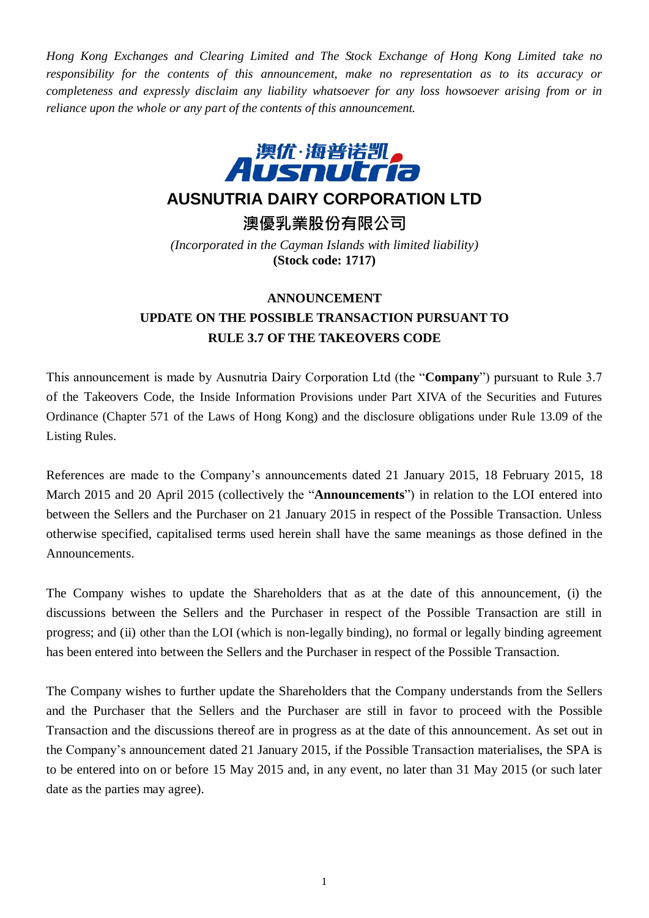*Hong Kong Exchanges and Clearing Limited and The Stock Exchange of Hong Kong Limited take no responsibility for the contents of this announcement, make no representation as to its accuracy or completeness and expressly disclaim any liability whatsoever for any loss howsoever arising from or in reliance upon the whole or any part of the contents of this announcement.*



## **AUSNUTRIA DAIRY CORPORATION LTD**

**澳優乳業股份有限公司**

*(Incorporated in the Cayman Islands with limited liability)* **(Stock code: 1717)**

## **ANNOUNCEMENT UPDATE ON THE POSSIBLE TRANSACTION PURSUANT TO RULE 3.7 OF THE TAKEOVERS CODE**

This announcement is made by Ausnutria Dairy Corporation Ltd (the "**Company**") pursuant to Rule 3.7 of the Takeovers Code, the Inside Information Provisions under Part XIVA of the Securities and Futures Ordinance (Chapter 571 of the Laws of Hong Kong) and the disclosure obligations under Rule 13.09 of the Listing Rules.

References are made to the Company's announcements dated 21 January 2015, 18 February 2015, 18 March 2015 and 20 April 2015 (collectively the "**Announcements**") in relation to the LOI entered into between the Sellers and the Purchaser on 21 January 2015 in respect of the Possible Transaction. Unless otherwise specified, capitalised terms used herein shall have the same meanings as those defined in the Announcements.

The Company wishes to update the Shareholders that as at the date of this announcement, (i) the discussions between the Sellers and the Purchaser in respect of the Possible Transaction are still in progress; and (ii) other than the LOI (which is non-legally binding), no formal or legally binding agreement has been entered into between the Sellers and the Purchaser in respect of the Possible Transaction.

The Company wishes to further update the Shareholders that the Company understands from the Sellers and the Purchaser that the Sellers and the Purchaser are still in favor to proceed with the Possible Transaction and the discussions thereof are in progress as at the date of this announcement. As set out in the Company's announcement dated 21 January 2015, if the Possible Transaction materialises, the SPA is to be entered into on or before 15 May 2015 and, in any event, no later than 31 May 2015 (or such later date as the parties may agree).